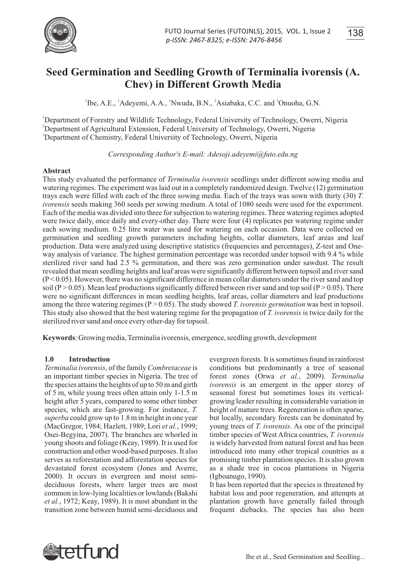

138

# **Seed Germination and Seedling Growth of Terminalia ivorensis (A. Chev) in Different Growth Media**

 $1$ Ibe, A.E.,  $1$ Adeyemi, A.A.,  $1$ Nwuda, B.N.,  $2$ Asiabaka, C.C. and  $3$ Onuoha, G.N.

<sup>1</sup>Department of Forestry and Wildlife Technology, Federal University of Technology, Owerri, Nigeria <sup>2</sup>Department of Agricultural Extension, Federal University of Technology, Owerri, Nigeria <sup>3</sup>Department of Chemistry, Federal University of Technology, Owerri, Nigeria

*Corresponding Author's E-mail: Adesoji.adeyemi@futo.edu.ng*

## **Abstract**

This study evaluated the performance of *Terminalia ivorensis* seedlings under different sowing media and watering regimes. The experiment was laid out in a completely randomized design. Twelve (12) germination trays each were filled with each of the three sowing media. Each of the trays was sown with thirty (30) *T. ivorensis* seeds making 360 seeds per sowing medium. A total of 1080 seeds were used for the experiment. Each of the media was divided into three for subjection to watering regimes. Three watering regimes adopted were twice daily, once daily and every-other day. There were four (4) replicates per watering regime under each sowing medium. 0.25 litre water was used for watering on each occasion. Data were collected on germination and seedling growth parameters including heights, collar diameters, leaf areas and leaf production. Data were analyzed using descriptive statistics (frequencies and percentages), Z-test and Oneway analysis of variance. The highest germination percentage was recorded under topsoil with 9.4 % while sterilized river sand had 2.5 % germination, and there was zero germination under sawdust. The result revealed that mean seedling heights and leaf areas were significantly different between topsoil and river sand (P< 0.05). However, there was no significant difference in mean collar diameters under the river sand and top soil (P > 0.05). Mean leaf productions significantly differed between river sand and top soil (P > 0.05). There were no significant differences in mean seedling heights, leaf areas, collar diameters and leaf productions among the three watering regimes (P > 0.05). The study showed *T. ivorensis germination* was best in topsoil. This study also showed that the best watering regime for the propagation of *T. ivorensis* is twice daily for the sterilized river sand and once every other-day for topsoil.

**Keywords**: Growing media, Terminalia ivorensis, emergence, seedling growth, development

# **1.0 Introduction**

*Terminalia ivorensis*, of the family *Combretaceae* is an important timber species in Nigeria. The tree of the species attains the heights of up to 50 m and girth of 5 m, while young trees often attain only 1-1.5 m height after 5 years, compared to some other timber species, which are fast-growing. For instance, *T. superba* could grow up to 1.8 m in height in one year (MacGregor, 1984; Hazlett, 1989; Lori *et al.*, 1999; Osei-Begyina, 2007). The branches are whorled in young shoots and foliage (Keay, 1989). It is used for construction and other wood-based purposes. It also serves as reforestation and afforestation species for devastated forest ecosystem (Jones and Averre, 2000). It occurs in evergreen and moist semideciduous forests, where larger trees are most common in low-lying localities or lowlands (Bakshi *et al.*, 1972; Keay, 1989). It is most abundant in the transition zone between humid semi-deciduous and

evergreen forests. It is sometimes found in rainforest conditions but predominantly a tree of seasonal forest zones (Orwa *et al.*, 2009). *Terminalia ivorensis* is an emergent in the upper storey of seasonal forest but sometimes loses its verticalgrowing leader resulting in considerable variation in height of mature trees. Regeneration is often sparse, but locally, secondary forests can be dominated by young trees of *T. ivorensis*. As one of the principal timber species of West Africa countries, *T. ivorensis* is widely harvested from natural forest and has been introduced into many other tropical countries as a promising timber plantation species. It is also grown as a shade tree in cocoa plantations in Nigeria (Igboanugo, 1990).

It has been reported that the species is threatened by habitat loss and poor regeneration, and attempts at plantation growth have generally failed through frequent diebacks. The species has also been

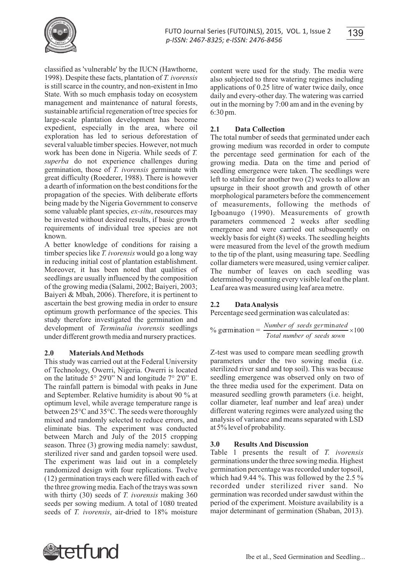

classified as 'vulnerable' by the IUCN (Hawthorne, 1998). Despite these facts, plantation of *T. ivorensis* is still scarce in the country, and non-existent in Imo State. With so much emphasis today on ecosystem management and maintenance of natural forests, sustainable artificial regeneration of tree species for large-scale plantation development has become expedient, especially in the area, where oil exploration has led to serious deforestation of several valuable timber species. However, not much work has been done in Nigeria. While seeds of *T. superba* do not experience challenges during germination, those of *T. ivorensis* germinate with great difficulty (Roederer, 1988). There is however a dearth of information on the best conditions for the propagation of the species. With deliberate efforts being made by the Nigeria Government to conserve some valuable plant species, *ex-situ*, resources may be invested without desired results, if basic growth requirements of individual tree species are not known.

A better knowledge of conditions for raising a timber species like *T. ivorensis* would go a long way in reducing initial cost of plantation establishment. Moreover, it has been noted that qualities of seedlings are usually influenced by the composition of the growing media (Salami, 2002; Baiyeri, 2003; Baiyeri & Mbah, 2006). Therefore, it is pertinent to ascertain the best growing media in order to ensure optimum growth performance of the species. This study therefore investigated the germination and development of *Terminalia ivorensis* seedlings under different growth media and nursery practices.

# **2.0 Materials And Methods**

This study was carried out at the Federal University of Technology, Owerri, Nigeria. Owerri is located on the latitude 5° 29'0" N and longitude 7° 2'0" E. The rainfall pattern is bimodal with peaks in June and September. Relative humidity is about 90 % at optimum level, while average temperature range is between 25°C and 35°C. The seeds were thoroughly mixed and randomly selected to reduce errors, and eliminate bias. The experiment was conducted between March and July of the 2015 cropping season. Three (3) growing media namely: sawdust, sterilized river sand and garden topsoil were used. The experiment was laid out in a completely randomized design with four replications. Twelve (12) germination trays each were filled with each of the three growing media. Each of the trays was sown with thirty (30) seeds of *T. ivorensis* making 360 seeds per sowing medium. A total of 1080 treated seeds of *T. ivorensis*, air-dried to 18% moisture content were used for the study. The media were also subjected to three watering regimes including applications of 0.25 litre of water twice daily, once daily and every-other day. The watering was carried out in the morning by 7:00 am and in the evening by 6:30 pm.

# **2.1 Data Collection**

The total number of seeds that germinated under each growing medium was recorded in order to compute the percentage seed germination for each of the growing media. Data on the time and period of seedling emergence were taken. The seedlings were left to stabilize for another two (2) weeks to allow an upsurge in their shoot growth and growth of other morphological parameters before the commencement of measurements, following the methods of Igboanugo (1990). Measurements of growth parameters commenced 2 weeks after seedling emergence and were carried out subsequently on weekly basis for eight (8) weeks. The seedling heights were measured from the level of the growth medium to the tip of the plant, using measuring tape. Seedling collar diameters were measured, using vernier caliper. The number of leaves on each seedling was determined by counting every visible leaf on the plant. Leaf area was measured using leaf area metre.

# **2.2 Data Analysis**

Percentage seed germination was calculated as:

$$
\% \text{ germination} = \frac{Number \text{ of seeds germinated}}{Total number \text{ of seeds sown}} \times 100
$$

Z-test was used to compare mean seedling growth parameters under the two sowing media (i.e. sterilized river sand and top soil). This was because seedling emergence was observed only on two of the three media used for the experiment. Data on measured seedling growth parameters (i.e. height, collar diameter, leaf number and leaf area) under different watering regimes were analyzed using the analysis of variance and means separated with LSD at 5% level of probability.

# **3.0 Results And Discussion**

Table 1 presents the result of *T. ivorensis* germinations under the three sowing media. Highest germination percentage was recorded under topsoil, which had 9.44 %. This was followed by the 2.5 % recorded under sterilized river sand. No germination was recorded under sawdust within the period of the experiment. Moisture availability is a major determinant of germination (Shaban, 2013).

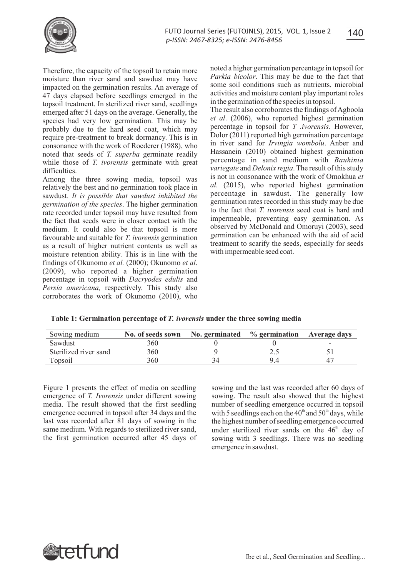

Therefore, the capacity of the topsoil to retain more moisture than river sand and sawdust may have impacted on the germination results. An average of 47 days elapsed before seedlings emerged in the topsoil treatment. In sterilized river sand, seedlings emerged after 51 days on the average. Generally, the species had very low germination. This may be probably due to the hard seed coat, which may require pre-treatment to break dormancy. This is in consonance with the work of Roederer (1988), who noted that seeds of *T. superba* germinate readily while those of *T. ivorensis* germinate with great difficulties.

Among the three sowing media, topsoil was relatively the best and no germination took place in sawdust. *It is possible that sawdust inhibited the germination of the species*. The higher germination rate recorded under topsoil may have resulted from the fact that seeds were in closer contact with the medium. It could also be that topsoil is more favourable and suitable for *T. ivorensis* germination as a result of higher nutrient contents as well as moisture retention ability. This is in line with the findings of Okunomo *et al.* (2000); Okunomo *et al*. (2009), who reported a higher germination percentage in topsoil with *Dacryodes edulis* and *Persia americana,* respectively. This study also corroborates the work of Okunomo (2010), who

noted a higher germination percentage in topsoil for *Parkia bicolor*. This may be due to the fact that some soil conditions such as nutrients, microbial activities and moisture content play important roles in the germination of the species in topsoil.

The result also corroborates the findings of Agboola *et al*. (2006), who reported highest germination percentage in topsoil for *T .ivorensis*. However, Dolor (2011) reported high germination percentage in river sand for *Irvingia wombolu*. Anber and Hassanein (2010) obtained highest germination percentage in sand medium with *Bauhinia variegate* and *Delonix regia*. The result of this study is not in consonance with the work of Omokhua *et al.* (2015), who reported highest germination percentage in sawdust. The generally low germination rates recorded in this study may be due to the fact that *T. ivorensis* seed coat is hard and impermeable, preventing easy germination. As observed by McDonald and Omoruyi (2003), seed germination can be enhanced with the aid of acid treatment to scarify the seeds, especially for seeds with impermeable seed coat.

|  | Table 1: Germination percentage of T. ivorensis under the three sowing media |
|--|------------------------------------------------------------------------------|
|  |                                                                              |

| Sowing medium         | No. of seeds sown | No. germinated | $\%$ germination | <b>Average days</b> |
|-----------------------|-------------------|----------------|------------------|---------------------|
| Sawdust               | 360               |                |                  |                     |
| Sterilized river sand | 360               |                |                  |                     |
| Topsoil               | 360               |                | 94               |                     |

Figure 1 presents the effect of media on seedling emergence of *T. Ivorensis* under different sowing media. The result showed that the first seedling emergence occurred in topsoil after 34 days and the last was recorded after 81 days of sowing in the same medium. With regards to sterilized river sand, the first germination occurred after 45 days of sowing and the last was recorded after 60 days of sowing. The result also showed that the highest number of seedling emergence occurred in topsoil with 5 seedlings each on the  $40<sup>th</sup>$  and  $50<sup>th</sup>$  days, while the highest number of seedling emergence occurred under sterilized river sands on the  $46<sup>th</sup>$  day of sowing with 3 seedlings. There was no seedling emergence in sawdust.

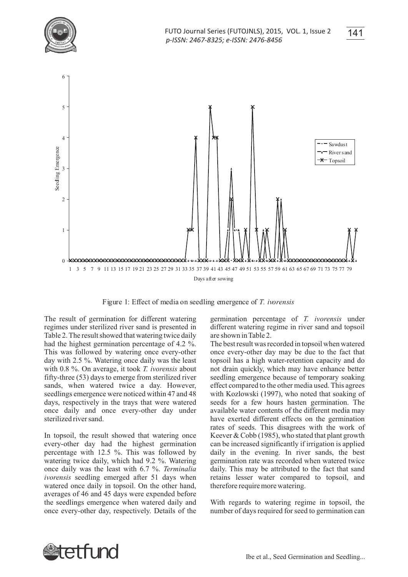

Figure 1: Effect of media on seedling emergence of *T. ivorensis*

The result of germination for different watering regimes under sterilized river sand is presented in Table 2. The result showed that watering twice daily had the highest germination percentage of 4.2 %. This was followed by watering once every-other day with 2.5 %. Watering once daily was the least with 0.8 %. On average, it took *T. ivorensis* about fifty-three (53) days to emerge from sterilized river sands, when watered twice a day. However, seedlings emergence were noticed within 47 and 48 days, respectively in the trays that were watered once daily and once every-other day under sterilized river sand.

In topsoil, the result showed that watering once every-other day had the highest germination percentage with 12.5 %. This was followed by watering twice daily, which had 9.2 %. Watering once daily was the least with 6.7 %. *Terminalia ivorensis* seedling emerged after 51 days when watered once daily in topsoil. On the other hand, averages of 46 and 45 days were expended before the seedlings emergence when watered daily and once every-other day, respectively. Details of the

germination percentage of *T. ivorensis* under different watering regime in river sand and topsoil are shown in Table 2.

The best result was recorded in topsoil when watered once every-other day may be due to the fact that topsoil has a high water-retention capacity and do not drain quickly, which may have enhance better seedling emergence because of temporary soaking effect compared to the other media used. This agrees with Kozlowski (1997), who noted that soaking of seeds for a few hours hasten germination. The available water contents of the different media may have exerted different effects on the germination rates of seeds. This disagrees with the work of Keever  $& Cobb(1985)$ , who stated that plant growth can be increased significantly if irrigation is applied daily in the evening. In river sands, the best germination rate was recorded when watered twice daily. This may be attributed to the fact that sand retains lesser water compared to topsoil, and therefore require more watering.

With regards to watering regime in topsoil, the number of days required for seed to germination can

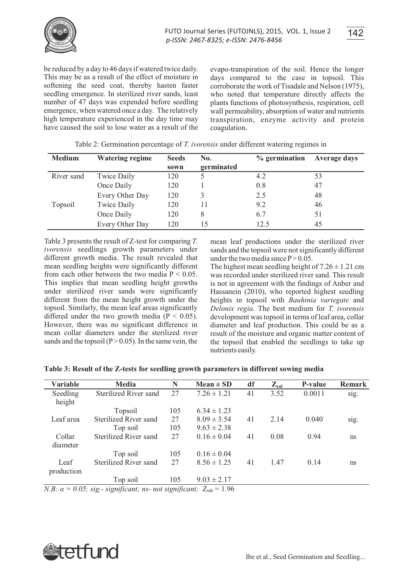

be reduced by a day to 46 days if watered twice daily. This may be as a result of the effect of moisture in softening the seed coat, thereby hasten faster seedling emergence. In sterilized river sands, least number of 47 days was expended before seedling emergence, when watered once a day. The relatively high temperature experienced in the day time may have caused the soil to lose water as a result of the

evapo-transpiration of the soil. Hence the longer days compared to the case in topsoil. This corroborate the work of Tisadale and Nelson (1975), who noted that temperature directly affects the plants functions of photosynthesis, respiration, cell wall permeability, absorption of water and nutrients transpiration, enzyme activity and protein coagulation.

| <b>Medium</b> | <b>Watering regime</b> | <b>Seeds</b><br>sown | No.<br>germinated | $\%$ germination | <b>Average days</b> |
|---------------|------------------------|----------------------|-------------------|------------------|---------------------|
| River sand    | <b>Twice Daily</b>     | 120                  |                   | 4.2              | 53                  |
|               | Once Daily             | 120                  |                   | 0.8              | 47                  |
|               | Every Other Day        | 120                  |                   | 2.5              | 48                  |
| Topsoil       | <b>Twice Daily</b>     | 120                  | 11                | 9.2              | 46                  |
|               | Once Daily             | 120                  | 8                 | 6.7              | 51                  |
|               | Every Other Day        | 120                  | 15                | 12.5             | 45                  |

Table 2: Germination percentage of *T. ivorensis* under different watering regimes in

Table 3 presents the result of Z-test for comparing *T. ivorensis* seedlings growth parameters under different growth media. The result revealed that mean seedling heights were significantly different from each other between the two media  $P < 0.05$ . This implies that mean seedling height growths under sterilized river sands were significantly different from the mean height growth under the topsoil. Similarly, the mean leaf areas significantly differed under the two growth media ( $P < 0.05$ ). However, there was no significant difference in mean collar diameters under the sterilized river sands and the topsoil ( $P > 0.05$ ). In the same vein, the mean leaf productions under the sterilized river sands and the topsoil were not significantly different under the two media since  $P > 0.05$ .

The highest mean seedling height of  $7.26 \pm 1.21$  cm was recorded under sterilized river sand. This result is not in agreement with the findings of Anber and Hassanein (2010), who reported highest seedling heights in topsoil with *Bauhinia variegate* and *Delonix regia*. The best medium for *T. ivorensis* development was topsoil in terms of leaf area, collar diameter and leaf production. This could be as a result of the moisture and organic matter content of the topsoil that enabled the seedlings to take up nutrients easily.

| Variable           | Media                        | N   | $Mean \pm SD$   | df | $Z_{cal}$ | P-value | <b>Remark</b> |
|--------------------|------------------------------|-----|-----------------|----|-----------|---------|---------------|
| Seedling<br>height | <b>Sterilized River sand</b> | 27  | $7.26 \pm 1.21$ | 41 | 3.52      | 0.0011  | sig.          |
|                    | Topsoil                      | 105 | $6.34 \pm 1.23$ |    |           |         |               |
| Leaf area          | Sterilized River sand        | 27  | $8.09 \pm 3.54$ | 41 | 2.14      | 0.040   | sig.          |
|                    | Top soil                     | 105 | $9.63 \pm 2.38$ |    |           |         |               |
| Collar<br>diameter | Sterilized River sand        | 27  | $0.16 \pm 0.04$ | 41 | 0.08      | 0.94    | ns            |
|                    | Top soil                     | 105 | $0.16 \pm 0.04$ |    |           |         |               |
| Leaf<br>production | Sterilized River sand        | 27  | $8.56 \pm 1.25$ | 41 | 1.47      | 0.14    | ns            |
|                    | Top soil                     | 105 | $9.03 \pm 2.17$ |    |           |         |               |

*N.B:*  $\alpha = 0.05$ ; sig.- *significant*; *ns- not significant*;  $Z_{\text{tab}} = 1.96$ 

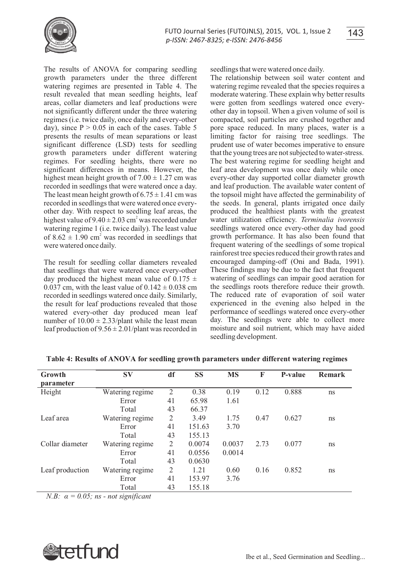

The results of ANOVA for comparing seedling growth parameters under the three different watering regimes are presented in Table 4. The result revealed that mean seedling heights, leaf areas, collar diameters and leaf productions were not significantly different under the three watering regimes (i.e. twice daily, once daily and every-other day), since  $P > 0.05$  in each of the cases. Table 5 presents the results of mean separations or least significant difference (LSD) tests for seedling growth parameters under different watering regimes. For seedling heights, there were no significant differences in means. However, the highest mean height growth of  $7.00 \pm 1.27$  cm was recorded in seedlings that were watered once a day. The least mean height growth of  $6.75 \pm 1.41$  cm was recorded in seedlings that were watered once everyother day. With respect to seedling leaf areas, the highest value of  $9.40 \pm 2.03$  cm<sup>2</sup> was recorded under watering regime 1 (i.e. twice daily). The least value of 8.62  $\pm$  1.90 cm<sup>2</sup> was recorded in seedlings that were watered once daily.

The result for seedling collar diameters revealed that seedlings that were watered once every-other day produced the highest mean value of 0.175  $\pm$ 0.037 cm, with the least value of  $0.142 \pm 0.038$  cm recorded in seedlings watered once daily. Similarly, the result for leaf productions revealed that those watered every-other day produced mean leaf number of  $10.00 \pm 2.33$ /plant while the least mean leaf production of  $9.56 \pm 2.01$ /plant was recorded in

seedlings that were watered once daily.

The relationship between soil water content and watering regime revealed that the species requires a moderate watering. These explain why better results were gotten from seedlings watered once everyother day in topsoil. When a given volume of soil is compacted, soil particles are crushed together and pore space reduced. In many places, water is a limiting factor for raising tree seedlings. The prudent use of water becomes imperative to ensure that the young trees are not subjected to water-stress. The best watering regime for seedling height and leaf area development was once daily while once every-other day supported collar diameter growth and leaf production. The available water content of the topsoil might have affected the germinability of the seeds. In general, plants irrigated once daily produced the healthiest plants with the greatest water utilization efficiency. *Terminalia ivorensis*  seedlings watered once every-other day had good growth performance. It has also been found that frequent watering of the seedlings of some tropical rainforest tree species reduced their growth rates and encouraged damping-off (Oni and Bada, 1991). These findings may be due to the fact that frequent watering of seedlings can impair good aeration for the seedlings roots therefore reduce their growth. The reduced rate of evaporation of soil water experienced in the evening also helped in the performance of seedlings watered once every-other day. The seedlings were able to collect more moisture and soil nutrient, which may have aided seedling development.

| Growth          | <b>SV</b>       | df             | <b>SS</b> | <b>MS</b> | F    | <b>P-value</b> | <b>Remark</b> |
|-----------------|-----------------|----------------|-----------|-----------|------|----------------|---------------|
| parameter       |                 |                |           |           |      |                |               |
| Height          | Watering regime | $\overline{2}$ | 0.38      | 0.19      | 0.12 | 0.888          | ns            |
|                 | Error           | 41             | 65.98     | 1.61      |      |                |               |
|                 | Total           | 43             | 66.37     |           |      |                |               |
| Leaf area       | Watering regime | 2              | 3.49      | 1.75      | 0.47 | 0.627          | ns            |
|                 | Error           | 41             | 151.63    | 3.70      |      |                |               |
|                 | Total           | 43             | 155.13    |           |      |                |               |
| Collar diameter | Watering regime | 2              | 0.0074    | 0.0037    | 2.73 | 0.077          | ns            |
|                 | Error           | 41             | 0.0556    | 0.0014    |      |                |               |
|                 | Total           | 43             | 0.0630    |           |      |                |               |
| Leaf production | Watering regime | 2              | 1.21      | 0.60      | 0.16 | 0.852          | ns            |
|                 | Error           | 41             | 153.97    | 3.76      |      |                |               |
|                 | Total           | 43             | 155.18    |           |      |                |               |

*N.B:*  $\alpha = 0.05$ ; *ns* - *not significant* 

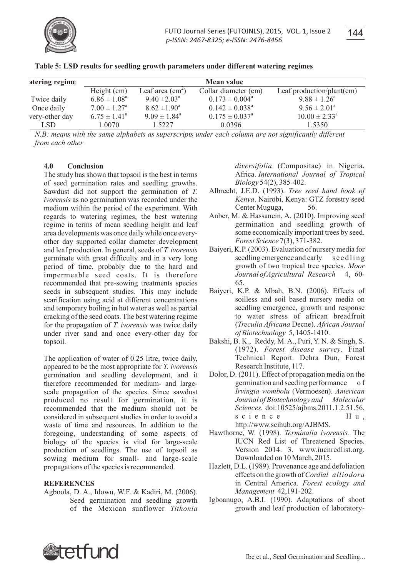

| atering regime | Mean value                 |                            |                              |                           |  |  |  |  |  |
|----------------|----------------------------|----------------------------|------------------------------|---------------------------|--|--|--|--|--|
|                | Height (cm)                | Leaf area $(cm2)$          | Collar diameter (cm)         | Leaf production/plant(cm) |  |  |  |  |  |
| Twice daily    | $6.86 \pm 1.08^{\text{a}}$ | $9.40 \pm 2.03^{\text{a}}$ | $0.173 \pm 0.004^{\circ}$    | $9.88 \pm 1.26^{\circ}$   |  |  |  |  |  |
| Once daily     | $7.00 \pm 1.27^{\rm a}$    | $8.62 \pm 1.90^a$          | $0.142 \pm 0.038^{\text{a}}$ | $9.56 \pm 2.01^{\circ}$   |  |  |  |  |  |
| very-other day | $6.75 \pm 1.41^{\circ}$    | $9.09 \pm 1.84^{\circ}$    | $0.175 \pm 0.037^{\text{a}}$ | $10.00 \pm 2.33^{\circ}$  |  |  |  |  |  |
| LSD            | 1.0070                     | 1.5227                     | 0.0396                       | 1.5350                    |  |  |  |  |  |

**Table 5: LSD results for seedling growth parameters under different watering regimes**

*N.B: means with the same alphabets as superscripts under each column are not significantly different from each other*

## **4.0 Conclusion**

The study has shown that topsoil is the best in terms of seed germination rates and seedling growths. Sawdust did not support the germination of *T. ivorensis* as no germination was recorded under the medium within the period of the experiment. With regards to watering regimes, the best watering regime in terms of mean seedling height and leaf area developments was once daily while once everyother day supported collar diameter development and leaf production. In general, seeds of *T. ivorensis*  germinate with great difficulty and in a very long period of time, probably due to the hard and impermeable seed coats. It is therefore recommended that pre-sowing treatments species seeds in subsequent studies. This may include scarification using acid at different concentrations and temporary boiling in hot water as well as partial cracking of the seed coats. The best watering regime for the propagation of *T. ivorensis* was twice daily under river sand and once every-other day for topsoil.

The application of water of 0.25 litre, twice daily, appeared to be the most appropriate for *T. ivorensis* germination and seedling development, and it therefore recommended for medium- and largescale propagation of the species. Since sawdust produced no result for germination, it is recommended that the medium should not be considered in subsequent studies in order to avoid a waste of time and resources. In addition to the foregoing, understanding of some aspects of biology of the species is vital for large-scale production of seedlings. The use of topsoil as sowing medium for small- and large-scale propagations of the species is recommended.

#### **REFERENCES**

Agboola, D. A., Idowu, W.F. & Kadiri, M. (2006). Seed germination and seedling growth of the Mexican sunflower *Tithonia*

*diversifolia* (Compositae) in Nigeria, Africa. *International Journal of Tropical Biology* 54(2), 385-402.

- Albrecht, J.E.D. (1993). *Tree seed hand book of Kenya*. Nairobi, Kenya: GTZ forestry seed Center Muguga, 56.
- Anber, M. & Hassanein, A. (2010). Improving seed germination and seedling growth of some economically important trees by seed. *Forest Science* 7(3), 371-382.
- Baiyeri, K.P. (2003). Evaluation of nursery media for seedling emergence and early seedling growth of two tropical tree species. *Moor Journal of Agricultural Research* 4, 60- 65.
- Baiyeri, K.P. & Mbah, B.N. (2006). Effects of soilless and soil based nursery media on seedling emergence, growth and response to water stress of african breadfruit (*Treculia Africana* Decne). *African Journal of Biotechnology* 5, 1405-1410.
- Bakshi, B. K., Reddy, M. A., Puri, Y. N. & Singh, S. (1972). *Forest disease survey*. Final Technical Report. Dehra Dun, Forest Research Institute, 117.
- Dolor, D. (2011). Effect of propagation media on the germination and seeding performance o f *Irvingia wombolu* (Vermoesen). *American Journal of Biotechnology and Molecular Sciences.* doi:10525/ajbms.2011.1.2.51.56, science Hu, http://www.scihub.org/AJBMS.
- Hawthorne, W. (1998). *Terminalia ivorensis.* The IUCN Red List of Threatened Species. Version 2014. 3. www.iucnredlist.org. Downloaded on 10 March, 2015.
- Hazlett, D.L. (1989). Provenance age and defoliation effects on the growth of *Cordial alliodora* in Central America. *Forest ecology and Management* 42,191-202.
- Igboanugo, A.B.I. (1990). Adaptations of shoot growth and leaf production of laboratory-